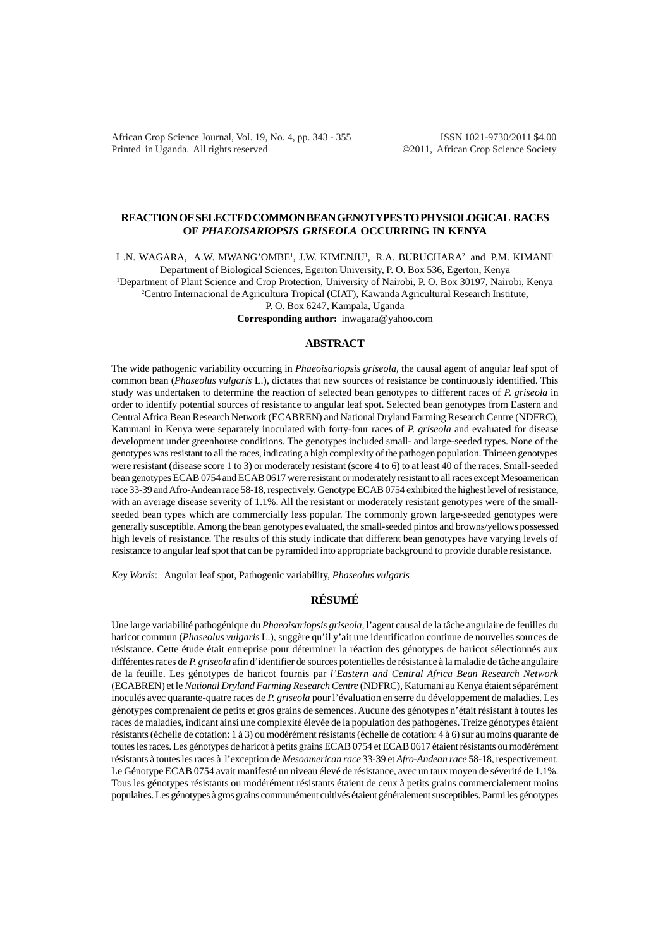African Crop Science Journal, Vol. 19, No. 4, pp. 343 - 355 ISSN 1021-9730/2011 \$4.00 Printed in Uganda. All rights reserved ©2011, African Crop Science Society

## **REACTION OF SELECTED COMMON BEAN GENOTYPES TO PHYSIOLOGICAL RACES OF** *PHAEOISARIOPSIS GRISEOLA* **OCCURRING IN KENYA**

I .N. WAGARA, A.W. MWANG'OMBE<sup>1</sup>, J.W. KIMENJU<sup>1</sup>, R.A. BURUCHARA<sup>2</sup> and P.M. KIMANI<sup>1</sup>

Department of Biological Sciences, Egerton University, P. O. Box 536, Egerton, Kenya 1 Department of Plant Science and Crop Protection, University of Nairobi, P. O. Box 30197, Nairobi, Kenya

2 Centro Internacional de Agricultura Tropical (CIAT), Kawanda Agricultural Research Institute,

P. O. Box 6247, Kampala, Uganda

**Corresponding author:** inwagara@yahoo.com

## **ABSTRACT**

The wide pathogenic variability occurring in *Phaeoisariopsis griseola,* the causal agent of angular leaf spot of common bean (*Phaseolus vulgaris* L.), dictates that new sources of resistance be continuously identified. This study was undertaken to determine the reaction of selected bean genotypes to different races of *P. griseola* in order to identify potential sources of resistance to angular leaf spot. Selected bean genotypes from Eastern and Central Africa Bean Research Network (ECABREN) and National Dryland Farming Research Centre (NDFRC), Katumani in Kenya were separately inoculated with forty-four races of *P. griseola* and evaluated for disease development under greenhouse conditions. The genotypes included small- and large-seeded types. None of the genotypes was resistant to all the races, indicating a high complexity of the pathogen population. Thirteen genotypes were resistant (disease score 1 to 3) or moderately resistant (score 4 to 6) to at least 40 of the races. Small-seeded bean genotypes ECAB 0754 and ECAB 0617 were resistant or moderately resistant to all races except Mesoamerican race 33-39 and Afro-Andean race 58-18, respectively. Genotype ECAB 0754 exhibited the highest level of resistance, with an average disease severity of 1.1%. All the resistant or moderately resistant genotypes were of the smallseeded bean types which are commercially less popular. The commonly grown large-seeded genotypes were generally susceptible. Among the bean genotypes evaluated, the small-seeded pintos and browns/yellows possessed high levels of resistance. The results of this study indicate that different bean genotypes have varying levels of resistance to angular leaf spot that can be pyramided into appropriate background to provide durable resistance.

*Key Words*: Angular leaf spot, Pathogenic variability, *Phaseolus vulgaris*

## **RÉSUMÉ**

Une large variabilité pathogénique du *Phaeoisariopsis griseola,* l'agent causal de la tâche angulaire de feuilles du haricot commun (*Phaseolus vulgaris* L.), suggère qu'il y'ait une identification continue de nouvelles sources de résistance. Cette étude était entreprise pour déterminer la réaction des génotypes de haricot sélectionnés aux différentes races de *P. griseola* afin d'identifier de sources potentielles de résistance à la maladie de tâche angulaire de la feuille. Les génotypes de haricot fournis par *l'Eastern and Central Africa Bean Research Network* (ECABREN) et le *National Dryland Farming Research Centre* (NDFRC), Katumani au Kenya étaient séparément inoculés avec quarante-quatre races de *P. griseola* pour l'évaluation en serre du développement de maladies. Les génotypes comprenaient de petits et gros grains de semences. Aucune des génotypes n'était résistant à toutes les races de maladies, indicant ainsi une complexité élevée de la population des pathogènes. Treize génotypes étaient résistants (échelle de cotation: 1 à 3) ou modérément résistants (échelle de cotation: 4 à 6) sur au moins quarante de toutes les races. Les génotypes de haricot à petits grains ECAB 0754 et ECAB 0617 étaient résistants ou modérément résistants à toutes les races à l'exception de *Mesoamerican race* 33-39 et *Afro-Andean race* 58-18, respectivement. Le Génotype ECAB 0754 avait manifesté un niveau élevé de résistance, avec un taux moyen de séverité de 1.1%. Tous les génotypes résistants ou modérément résistants étaient de ceux à petits grains commercialement moins populaires. Les génotypes à gros grains communément cultivés étaient généralement susceptibles. Parmi les génotypes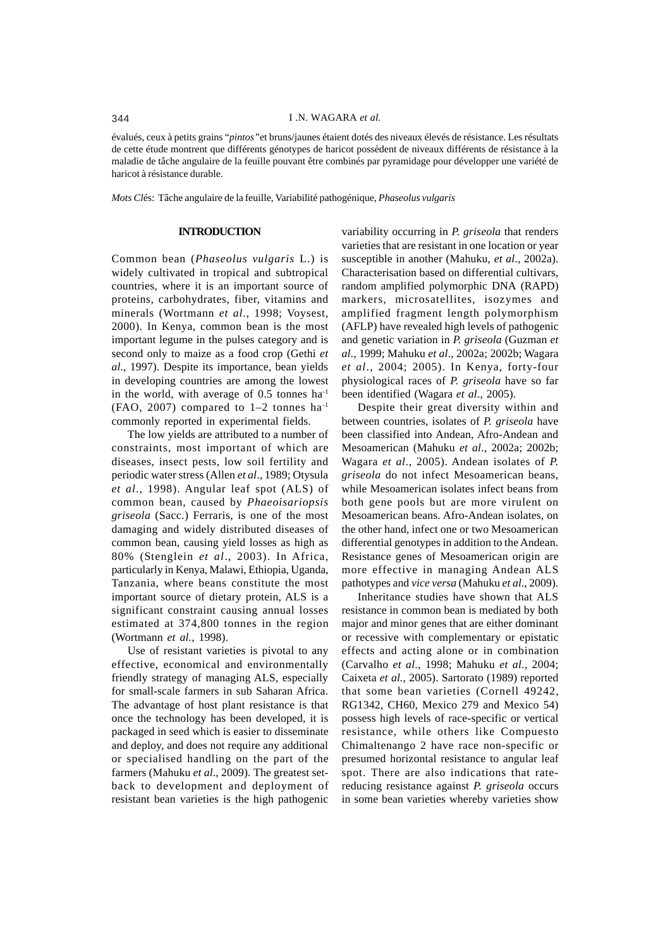évalués, ceux à petits grains "*pintos"*et bruns/jaunes étaient dotés des niveaux élevés de résistance. Les résultats de cette étude montrent que différents génotypes de haricot possèdent de niveaux différents de résistance à la maladie de tâche angulaire de la feuille pouvant être combinés par pyramidage pour développer une variété de haricot à résistance durable.

*Mots Cl*és: Tâche angulaire de la feuille, Variabilité pathogénique, *Phaseolus vulgaris*

### **INTRODUCTION**

Common bean (*Phaseolus vulgaris* L.) is widely cultivated in tropical and subtropical countries, where it is an important source of proteins, carbohydrates, fiber, vitamins and minerals (Wortmann *et al*., 1998; Voysest, 2000). In Kenya, common bean is the most important legume in the pulses category and is second only to maize as a food crop (Gethi *et al*., 1997). Despite its importance, bean yields in developing countries are among the lowest in the world, with average of  $0.5$  tonnes ha<sup>1</sup>  $(FAO, 2007)$  compared to  $1-2$  tonnes ha<sup>-1</sup> commonly reported in experimental fields.

The low yields are attributed to a number of constraints, most important of which are diseases, insect pests, low soil fertility and periodic water stress (Allen *et al*., 1989; Otysula *et al*., 1998). Angular leaf spot (ALS) of common bean, caused by *Phaeoisariopsis griseola* (Sacc.) Ferraris, is one of the most damaging and widely distributed diseases of common bean, causing yield losses as high as 80% (Stenglein *et al*., 2003). In Africa, particularly in Kenya, Malawi, Ethiopia, Uganda, Tanzania, where beans constitute the most important source of dietary protein, ALS is a significant constraint causing annual losses estimated at 374,800 tonnes in the region (Wortmann *et al.*, 1998).

Use of resistant varieties is pivotal to any effective, economical and environmentally friendly strategy of managing ALS, especially for small-scale farmers in sub Saharan Africa. The advantage of host plant resistance is that once the technology has been developed, it is packaged in seed which is easier to disseminate and deploy, and does not require any additional or specialised handling on the part of the farmers (Mahuku *et al*., 2009). The greatest setback to development and deployment of resistant bean varieties is the high pathogenic

variability occurring in *P. griseola* that renders varieties that are resistant in one location or year susceptible in another (Mahuku, *et al*., 2002a). Characterisation based on differential cultivars, random amplified polymorphic DNA (RAPD) markers, microsatellites, isozymes and amplified fragment length polymorphism (AFLP) have revealed high levels of pathogenic and genetic variation in *P. griseola* (Guzman *et al*., 1999; Mahuku *et al*., 2002a; 2002b; Wagara *et al*., 2004; 2005). In Kenya, forty-four physiological races of *P. griseola* have so far been identified (Wagara *et al*., 2005).

Despite their great diversity within and between countries, isolates of *P. griseola* have been classified into Andean, Afro-Andean and Mesoamerican (Mahuku *et al*., 2002a; 2002b; Wagara *et al*., 2005). Andean isolates of *P. griseola* do not infect Mesoamerican beans, while Mesoamerican isolates infect beans from both gene pools but are more virulent on Mesoamerican beans. Afro-Andean isolates, on the other hand, infect one or two Mesoamerican differential genotypes in addition to the Andean. Resistance genes of Mesoamerican origin are more effective in managing Andean ALS pathotypes and *vice versa* (Mahuku *et al*., 2009).

Inheritance studies have shown that ALS resistance in common bean is mediated by both major and minor genes that are either dominant or recessive with complementary or epistatic effects and acting alone or in combination (Carvalho *et al*., 1998; Mahuku *et al.,* 2004; Caixeta *et al.,* 2005). Sartorato (1989) reported that some bean varieties (Cornell 49242, RG1342, CH60, Mexico 279 and Mexico 54) possess high levels of race-specific or vertical resistance, while others like Compuesto Chimaltenango 2 have race non-specific or presumed horizontal resistance to angular leaf spot. There are also indications that ratereducing resistance against *P. griseola* occurs in some bean varieties whereby varieties show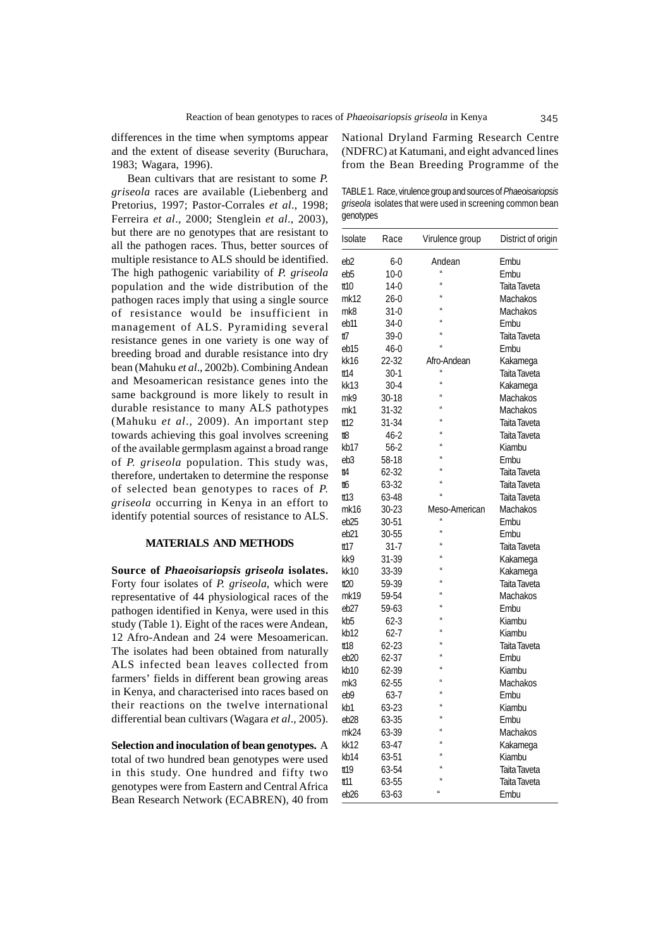differences in the time when symptoms appear and the extent of disease severity (Buruchara, 1983; Wagara, 1996).

Bean cultivars that are resistant to some *P. griseola* races are available (Liebenberg and Pretorius, 1997; Pastor-Corrales *et al*., 1998; Ferreira *et al*., 2000; Stenglein *et al*., 2003), but there are no genotypes that are resistant to all the pathogen races. Thus, better sources of multiple resistance to ALS should be identified. The high pathogenic variability of *P. griseola* population and the wide distribution of the pathogen races imply that using a single source of resistance would be insufficient in management of ALS. Pyramiding several resistance genes in one variety is one way of breeding broad and durable resistance into dry bean (Mahuku *et al*., 2002b). Combining Andean and Mesoamerican resistance genes into the same background is more likely to result in durable resistance to many ALS pathotypes (Mahuku *et al*., 2009). An important step towards achieving this goal involves screening of the available germplasm against a broad range of *P. griseola* population. This study was, therefore, undertaken to determine the response of selected bean genotypes to races of *P. griseola* occurring in Kenya in an effort to identify potential sources of resistance to ALS.

#### **MATERIALS AND METHODS**

**Source of** *Phaeoisariopsis griseola* **isolates.** Forty four isolates of *P. griseola*, which were representative of 44 physiological races of the pathogen identified in Kenya, were used in this study (Table 1). Eight of the races were Andean, 12 Afro-Andean and 24 were Mesoamerican. The isolates had been obtained from naturally ALS infected bean leaves collected from farmers' fields in different bean growing areas in Kenya, and characterised into races based on their reactions on the twelve international differential bean cultivars (Wagara *et al*., 2005).

**Selection and inoculation of bean genotypes.** A total of two hundred bean genotypes were used in this study. One hundred and fifty two genotypes were from Eastern and Central Africa Bean Research Network (ECABREN), 40 from National Dryland Farming Research Centre (NDFRC) at Katumani, and eight advanced lines from the Bean Breeding Programme of the

TABLE 1. Race, virulence group and sources of *Phaeoisariopsis griseola* isolates that were used in screening common bean genotypes

| Isolate          | Race     | Virulence group | District of origin |
|------------------|----------|-----------------|--------------------|
| eb2              | $6-0$    | Andean          | Embu               |
| eb5              | $10-0$   | $\mathbf{u}$    | Embu               |
| tt10             | 14-0     | $\overline{u}$  | Taita Taveta       |
| mk12             | $26-0$   |                 | Machakos           |
| mk8              | 31-0     |                 | Machakos           |
| eb11             | 34-0     |                 | Embu               |
| tt7              | 39-0     |                 | Taita Taveta       |
| eb15             | $46-0$   |                 | Embu               |
| kk16             | 22-32    | Afro-Andean     | Kakamega           |
| tt14             | 30-1     | $\overline{u}$  | Taita Taveta       |
| kk13             | $30-4$   | $\overline{u}$  | Kakamega           |
| mk9              | 30-18    |                 | Machakos           |
| mk1              | 31-32    |                 | Machakos           |
| tt12             | 31-34    |                 | Taita Taveta       |
| #8               | 46-2     |                 | Taita Taveta       |
| kb17             | $56-2$   |                 | Kiambu             |
| eb3              | 58-18    |                 | Embu               |
| tt4              | 62-32    |                 | Taita Taveta       |
| tt6              | 63-32    |                 | Taita Taveta       |
| tt 13            | 63-48    |                 | Taita Taveta       |
| mk16             | 30-23    | Meso-American   | Machakos           |
| eb25             | 30-51    |                 | Embu               |
| eb21             | 30-55    | $\mathbf{u}$    | Embu               |
| tt17             | 31-7     | $\overline{u}$  | Taita Taveta       |
| kk9              | 31-39    |                 | Kakamega           |
| kk10             | 33-39    |                 | Kakamega           |
| t20              | 59-39    |                 | Taita Taveta       |
| mk19             | 59-54    |                 | Machakos           |
| eb27             | 59-63    |                 | Embu               |
| kb5              | $62-3$   |                 | Kiambu             |
| kb12             | $62 - 7$ |                 | Kiambu             |
| tt 18            | 62-23    |                 | Taita Taveta       |
| eb20             | 62-37    |                 | Embu               |
| kb10             | 62-39    |                 | Kiambu             |
| mk3              | 62-55    |                 | Machakos           |
| eb9              | 63-7     |                 | Embu               |
| kb1              | 63-23    |                 | Kiambu             |
| eb <sub>28</sub> | 63-35    |                 | Embu               |
| mk24             | 63-39    |                 | Machakos           |
| kk12             | 63-47    |                 | Kakamega           |
| kb14             | 63-51    |                 | Kiambu             |
| tt19             | 63-54    |                 | Taita Taveta       |
| tt 11            | 63-55    |                 | Taita Taveta       |
| eb <sub>26</sub> | 63-63    | $\overline{u}$  | Embu               |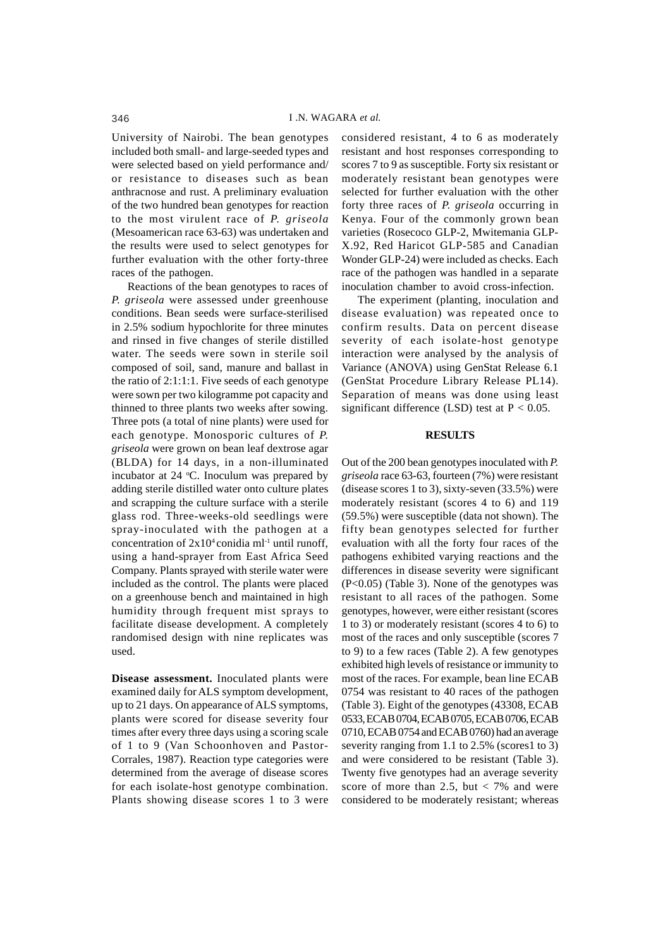University of Nairobi. The bean genotypes included both small- and large-seeded types and were selected based on yield performance and/ or resistance to diseases such as bean anthracnose and rust. A preliminary evaluation of the two hundred bean genotypes for reaction to the most virulent race of *P. griseola* (Mesoamerican race 63-63) was undertaken and the results were used to select genotypes for further evaluation with the other forty-three races of the pathogen.

Reactions of the bean genotypes to races of *P. griseola* were assessed under greenhouse conditions. Bean seeds were surface-sterilised in 2.5% sodium hypochlorite for three minutes and rinsed in five changes of sterile distilled water. The seeds were sown in sterile soil composed of soil, sand, manure and ballast in the ratio of 2:1:1:1. Five seeds of each genotype were sown per two kilogramme pot capacity and thinned to three plants two weeks after sowing. Three pots (a total of nine plants) were used for each genotype. Monosporic cultures of *P. griseola* were grown on bean leaf dextrose agar (BLDA) for 14 days, in a non-illuminated incubator at 24 °C. Inoculum was prepared by adding sterile distilled water onto culture plates and scrapping the culture surface with a sterile glass rod. Three-weeks-old seedlings were spray-inoculated with the pathogen at a concentration of  $2x10^4$  conidia ml<sup>-1</sup> until runoff, using a hand-sprayer from East Africa Seed Company. Plants sprayed with sterile water were included as the control. The plants were placed on a greenhouse bench and maintained in high humidity through frequent mist sprays to facilitate disease development. A completely randomised design with nine replicates was used.

**Disease assessment.** Inoculated plants were examined daily for ALS symptom development, up to 21 days. On appearance of ALS symptoms, plants were scored for disease severity four times after every three days using a scoring scale of 1 to 9 (Van Schoonhoven and Pastor-Corrales, 1987). Reaction type categories were determined from the average of disease scores for each isolate-host genotype combination. Plants showing disease scores 1 to 3 were

considered resistant, 4 to 6 as moderately resistant and host responses corresponding to scores 7 to 9 as susceptible. Forty six resistant or moderately resistant bean genotypes were selected for further evaluation with the other forty three races of *P. griseola* occurring in Kenya. Four of the commonly grown bean varieties (Rosecoco GLP-2, Mwitemania GLP-X.92, Red Haricot GLP-585 and Canadian Wonder GLP-24) were included as checks. Each race of the pathogen was handled in a separate inoculation chamber to avoid cross-infection.

The experiment (planting, inoculation and disease evaluation) was repeated once to confirm results. Data on percent disease severity of each isolate-host genotype interaction were analysed by the analysis of Variance (ANOVA) using GenStat Release 6.1 (GenStat Procedure Library Release PL14). Separation of means was done using least significant difference (LSD) test at  $P < 0.05$ .

### **RESULTS**

Out of the 200 bean genotypes inoculated with *P. griseola* race 63-63, fourteen (7%) were resistant (disease scores 1 to 3), sixty-seven  $(33.5%)$  were moderately resistant (scores 4 to 6) and 119 (59.5%) were susceptible (data not shown). The fifty bean genotypes selected for further evaluation with all the forty four races of the pathogens exhibited varying reactions and the differences in disease severity were significant (P<0.05) (Table 3). None of the genotypes was resistant to all races of the pathogen. Some genotypes, however, were either resistant (scores 1 to 3) or moderately resistant (scores 4 to 6) to most of the races and only susceptible (scores 7 to 9) to a few races (Table 2). A few genotypes exhibited high levels of resistance or immunity to most of the races. For example, bean line ECAB 0754 was resistant to 40 races of the pathogen (Table 3). Eight of the genotypes (43308, ECAB 0533, ECAB 0704, ECAB 0705, ECAB 0706, ECAB 0710, ECAB 0754 and ECAB 0760) had an average severity ranging from 1.1 to 2.5% (scores1 to 3) and were considered to be resistant (Table 3). Twenty five genotypes had an average severity score of more than 2.5, but  $\langle 7\% \rangle$  and were considered to be moderately resistant; whereas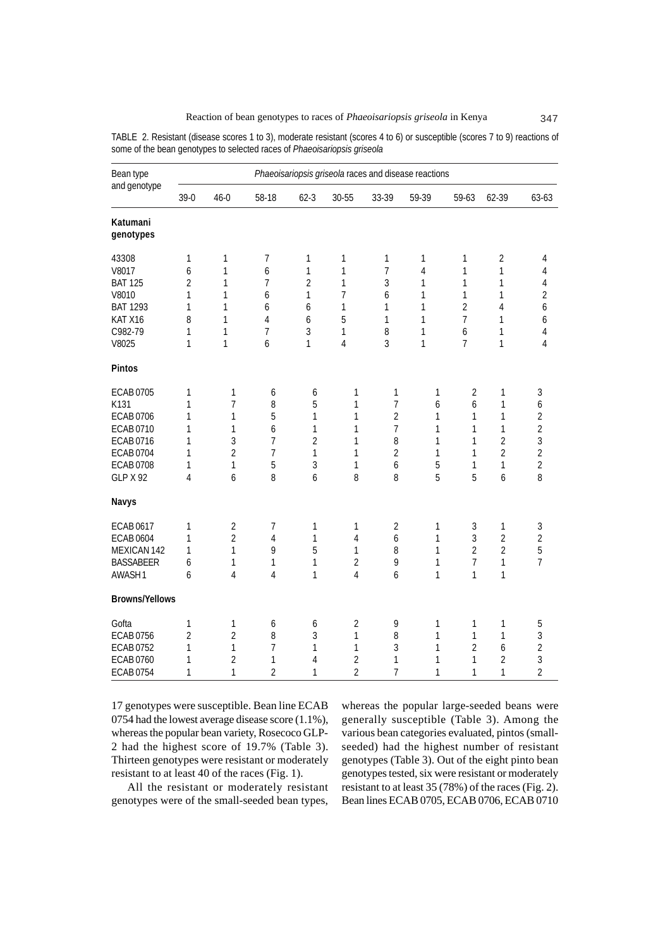| Bean type<br>and genotype                                                                                                     | Phaeoisariopsis griseola races and disease reactions |                                                                           |                                                                |                                                 |                                                              |                                                                                          |                                                   |                                                                       |                                                                                           |                                                                                          |
|-------------------------------------------------------------------------------------------------------------------------------|------------------------------------------------------|---------------------------------------------------------------------------|----------------------------------------------------------------|-------------------------------------------------|--------------------------------------------------------------|------------------------------------------------------------------------------------------|---------------------------------------------------|-----------------------------------------------------------------------|-------------------------------------------------------------------------------------------|------------------------------------------------------------------------------------------|
|                                                                                                                               | $39-0$                                               | $46 - 0$                                                                  | 58-18                                                          | $62 - 3$                                        | 30-55                                                        | 33-39                                                                                    | 59-39                                             | 59-63                                                                 | 62-39                                                                                     | 63-63                                                                                    |
| Katumani<br>genotypes                                                                                                         |                                                      |                                                                           |                                                                |                                                 |                                                              |                                                                                          |                                                   |                                                                       |                                                                                           |                                                                                          |
| 43308<br>V8017<br><b>BAT 125</b><br>V8010<br><b>BAT 1293</b><br>KAT X16<br>C982-79<br>V8025                                   | 1<br>6<br>2<br>1<br>1<br>8<br>1<br>1                 | $\mathbf{1}$<br>1<br>1<br>1<br>1<br>1<br>1<br>$\mathbf{1}$                | 7<br>6<br>7<br>6<br>6<br>4<br>7<br>6                           | 1<br>1<br>2<br>1<br>6<br>6<br>3<br>1            | 1<br>1<br>1<br>7<br>1<br>5<br>1<br>$\overline{4}$            | 1<br>$\overline{7}$<br>3<br>6<br>1<br>1<br>8<br>3                                        | 1<br>$\overline{4}$<br>1<br>1<br>1<br>1<br>1<br>1 | 1<br>1<br>1<br>1<br>$\overline{2}$<br>7<br>6<br>7                     | $\sqrt{2}$<br>$\mathbf{1}$<br>1<br>$\mathbf{1}$<br>4<br>$\mathbf{1}$<br>1<br>$\mathbf{1}$ | 4<br>4<br>4<br>$\overline{2}$<br>6<br>6<br>4<br>4                                        |
| Pintos                                                                                                                        |                                                      |                                                                           |                                                                |                                                 |                                                              |                                                                                          |                                                   |                                                                       |                                                                                           |                                                                                          |
| <b>ECAB0705</b><br>K131<br><b>ECAB0706</b><br>ECAB 0710<br>ECAB 0716<br><b>ECAB0704</b><br><b>ECAB0708</b><br><b>GLP X 92</b> | 1<br>1<br>1<br>1<br>1<br>1<br>1<br>4                 | 1<br>$\overline{7}$<br>1<br>1<br>3<br>$\overline{2}$<br>$\mathbf{1}$<br>6 | 6<br>8<br>5<br>6<br>$\overline{7}$<br>$\overline{7}$<br>5<br>8 | 6<br>5<br>1<br>1<br>2<br>$\mathbf{1}$<br>3<br>6 | 1<br>$\mathbf{1}$<br>1<br>1<br>1<br>1<br>1<br>8              | 1<br>$\overline{7}$<br>$\overline{2}$<br>$\overline{7}$<br>8<br>$\overline{2}$<br>6<br>8 | 1<br>6<br>1<br>1<br>1<br>1<br>5<br>5              | $\overline{2}$<br>6<br>1<br>1<br>1<br>1<br>1<br>5                     | 1<br>$\mathbf{1}$<br>1<br>1<br>2<br>$\overline{2}$<br>1<br>6                              | 3<br>6<br>$\overline{2}$<br>$\overline{2}$<br>3<br>$\overline{2}$<br>$\overline{2}$<br>8 |
| Navys                                                                                                                         |                                                      |                                                                           |                                                                |                                                 |                                                              |                                                                                          |                                                   |                                                                       |                                                                                           |                                                                                          |
| <b>ECAB0617</b><br><b>ECAB 0604</b><br>MEXICAN 142<br><b>BASSABEER</b><br>AWASH1                                              | 1<br>1<br>1<br>6<br>6                                | $\overline{2}$<br>$\overline{2}$<br>1<br>1<br>4                           | 7<br>4<br>9<br>1<br>4                                          | 1<br>1<br>5<br>$\mathbf{1}$<br>1                | 1<br>4<br>1<br>$\overline{2}$<br>4                           | $\overline{2}$<br>6<br>8<br>9<br>6                                                       | 1<br>1<br>1<br>1<br>1                             | $\sqrt{3}$<br>$\mathfrak{Z}$<br>$\overline{2}$<br>$\overline{7}$<br>1 | 1<br>$\overline{2}$<br>$\overline{2}$<br>1<br>1                                           | 3<br>$\overline{2}$<br>5<br>$\overline{7}$                                               |
| <b>Browns/Yellows</b>                                                                                                         |                                                      |                                                                           |                                                                |                                                 |                                                              |                                                                                          |                                                   |                                                                       |                                                                                           |                                                                                          |
| Gofta<br><b>ECAB0756</b><br><b>ECAB0752</b><br><b>ECAB0760</b><br><b>ECAB0754</b>                                             | 1<br>2<br>1<br>1<br>1                                | $\mathbf{1}$<br>$\overline{2}$<br>1<br>$\overline{2}$<br>$\mathbf{1}$     | 6<br>8<br>7<br>1<br>$\overline{2}$                             | 6<br>3<br>1<br>4<br>1                           | $\overline{2}$<br>1<br>1<br>$\overline{2}$<br>$\overline{2}$ | 9<br>8<br>3<br>1<br>$\overline{7}$                                                       | 1<br>1<br>1<br>1<br>1                             | 1<br>1<br>$\overline{2}$<br>1<br>$\mathbf{1}$                         | 1<br>1<br>6<br>2<br>1                                                                     | 5<br>3<br>$\overline{2}$<br>3<br>$\overline{2}$                                          |

TABLE 2. Resistant (disease scores 1 to 3), moderate resistant (scores 4 to 6) or susceptible (scores 7 to 9) reactions of some of the bean genotypes to selected races of *Phaeoisariopsis griseola*

17 genotypes were susceptible. Bean line ECAB 0754 had the lowest average disease score (1.1%), whereas the popular bean variety, Rosecoco GLP-2 had the highest score of 19.7% (Table 3). Thirteen genotypes were resistant or moderately resistant to at least 40 of the races (Fig. 1).

All the resistant or moderately resistant genotypes were of the small-seeded bean types, whereas the popular large-seeded beans were generally susceptible (Table 3). Among the various bean categories evaluated, pintos (smallseeded) had the highest number of resistant genotypes (Table 3). Out of the eight pinto bean genotypes tested, six were resistant or moderately resistant to at least 35 (78%) of the races (Fig. 2). Bean lines ECAB 0705, ECAB 0706, ECAB 0710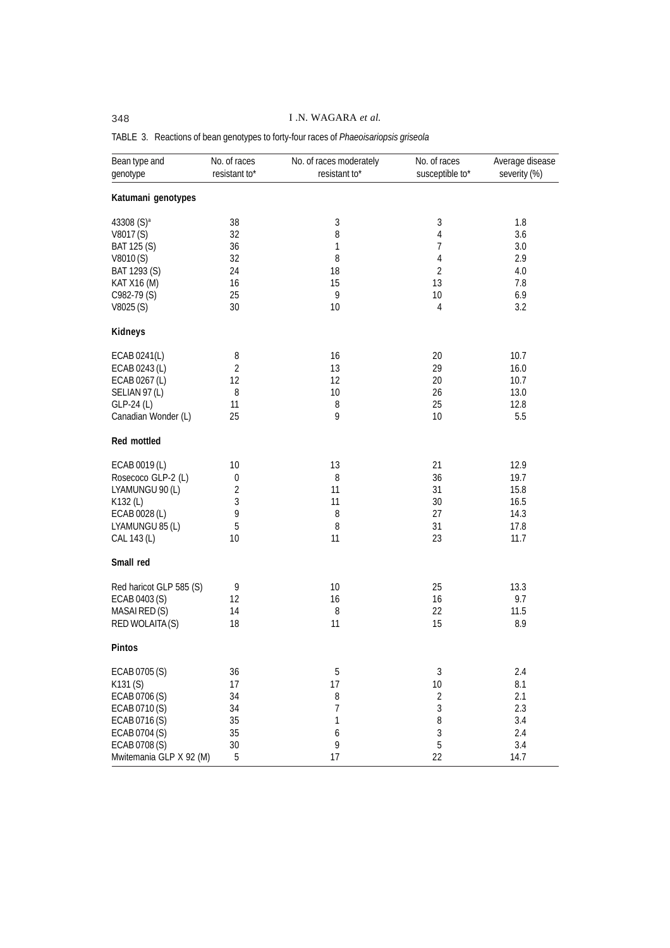# 348 I .N. WAGARA *et al.*

| Bean type and<br>genotype | No. of races<br>resistant to* | No. of races moderately<br>resistant to* | No. of races<br>susceptible to* | Average disease<br>severity (%) |
|---------------------------|-------------------------------|------------------------------------------|---------------------------------|---------------------------------|
| Katumani genotypes        |                               |                                          |                                 |                                 |
| 43308 (S) <sup>a</sup>    | 38                            | 3                                        | $\sqrt{3}$                      | 1.8                             |
| V8017(S)                  | 32                            | 8                                        | 4                               | 3.6                             |
| BAT 125 (S)               | 36                            | 1                                        | 7                               | 3.0                             |
|                           |                               | 8                                        |                                 |                                 |
| V8010(S)                  | 32                            |                                          | 4                               | 2.9                             |
| BAT 1293 (S)              | 24                            | 18                                       | 2                               | 4.0                             |
| KAT X16 (M)               | 16                            | 15                                       | 13                              | 7.8                             |
| C982-79 (S)               | 25                            | 9                                        | 10                              | 6.9                             |
| V8025 (S)                 | 30                            | 10                                       | 4                               | 3.2                             |
| Kidneys                   |                               |                                          |                                 |                                 |
| ECAB 0241(L)              | 8                             | 16                                       | 20                              | 10.7                            |
| ECAB 0243 (L)             | $\overline{2}$                | 13                                       | 29                              | 16.0                            |
| ECAB 0267 (L)             | 12                            | 12                                       | 20                              | 10.7                            |
| SELIAN 97 (L)             | 8                             | 10                                       | 26                              | 13.0                            |
| GLP-24 (L)                | 11                            | 8                                        | 25                              | 12.8                            |
|                           |                               |                                          |                                 |                                 |
| Canadian Wonder (L)       | 25                            | 9                                        | 10                              | 5.5                             |
| Red mottled               |                               |                                          |                                 |                                 |
| ECAB 0019 (L)             | 10                            | 13                                       | 21                              | 12.9                            |
| Rosecoco GLP-2 (L)        | 0                             | 8                                        | 36                              | 19.7                            |
| LYAMUNGU 90 (L)           | $\overline{2}$                | 11                                       | 31                              | 15.8                            |
| K132 (L)                  | 3                             | 11                                       | 30                              | 16.5                            |
| ECAB 0028 (L)             | 9                             | 8                                        | 27                              | 14.3                            |
|                           |                               |                                          |                                 |                                 |
| LYAMUNGU 85 (L)           | 5                             | 8                                        | 31                              | 17.8                            |
| CAL 143 (L)               | 10                            | 11                                       | 23                              | 11.7                            |
| Small red                 |                               |                                          |                                 |                                 |
| Red haricot GLP 585 (S)   | 9                             | 10                                       | 25                              | 13.3                            |
| ECAB 0403 (S)             | 12                            | 16                                       | 16                              | 9.7                             |
| MASAI RED (S)             | 14                            | 8                                        | 22                              | 11.5                            |
| RED WOLAITA(S)            | 18                            | 11                                       | 15                              | 8.9                             |
| Pintos                    |                               |                                          |                                 |                                 |
| ECAB 0705 (S)             | 36                            | 5                                        | $\sqrt{3}$                      | 2.4                             |
| K131(S)                   | 17                            | 17                                       | 10                              | 8.1                             |
| ECAB 0706 (S)             | 34                            | 8                                        | $\overline{2}$                  | 2.1                             |
| ECAB 0710 (S)             |                               | 7                                        | $\sqrt{3}$                      |                                 |
|                           | 34                            |                                          |                                 | 2.3                             |
| ECAB 0716 (S)             | 35                            | 1                                        | 8                               | 3.4                             |
| ECAB 0704 (S)             | 35                            | $\boldsymbol{6}$                         | $\mathfrak{Z}$                  | 2.4                             |
| ECAB 0708 (S)             | 30                            | 9                                        | 5                               | 3.4                             |
| Mwitemania GLP X 92 (M)   | 5                             | 17                                       | 22                              | 14.7                            |

# TABLE 3. Reactions of bean genotypes to forty-four races of *Phaeoisariopsis griseola*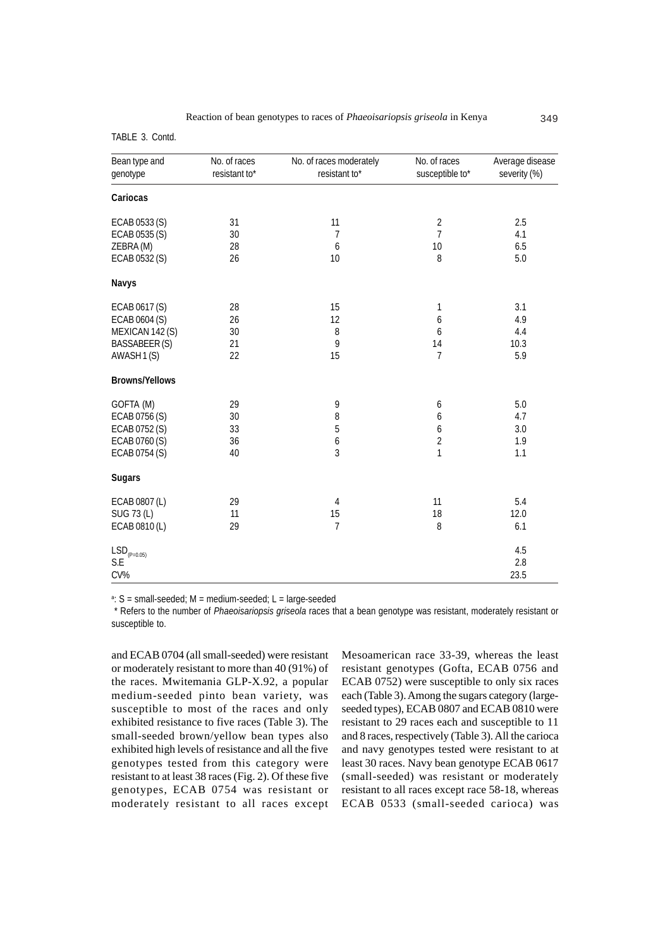TABLE 3. Contd.

| Bean type and<br>genotype | No. of races<br>resistant to* | No. of races moderately<br>resistant to* | No. of races<br>susceptible to* | Average disease<br>severity (%) |
|---------------------------|-------------------------------|------------------------------------------|---------------------------------|---------------------------------|
| Cariocas                  |                               |                                          |                                 |                                 |
| ECAB 0533 (S)             | 31                            | 11                                       | $\overline{2}$                  | 2.5                             |
| ECAB 0535 (S)             | 30                            | 7                                        | $\overline{7}$                  | 4.1                             |
| ZEBRA (M)                 | 28                            | 6                                        | 10                              | 6.5                             |
| ECAB 0532 (S)             | 26                            | 10                                       | 8                               | 5.0                             |
| Navys                     |                               |                                          |                                 |                                 |
| ECAB 0617 (S)             | 28                            | 15                                       | 1                               | 3.1                             |
| ECAB 0604 (S)             | 26                            | 12                                       | $\boldsymbol{6}$                | 4.9                             |
| MEXICAN 142 (S)           | 30                            | 8                                        | 6                               | 4.4                             |
| <b>BASSABEER(S)</b>       | 21                            | 9                                        | 14                              | 10.3                            |
| AWASH 1(S)                | 22                            | 15                                       | 7                               | 5.9                             |
| <b>Browns/Yellows</b>     |                               |                                          |                                 |                                 |
| GOFTA (M)                 | 29                            | 9                                        | 6                               | 5.0                             |
| ECAB 0756 (S)             | 30                            | 8                                        | $\boldsymbol{6}$                | 4.7                             |
| ECAB 0752 (S)             | 33                            | 5                                        | $\boldsymbol{6}$                | 3.0                             |
| ECAB 0760 (S)             | 36                            | 6                                        | $\overline{2}$                  | 1.9                             |
| ECAB 0754 (S)             | 40                            | $\overline{3}$                           | $\mathbf{1}$                    | 1.1                             |
| <b>Sugars</b>             |                               |                                          |                                 |                                 |
| ECAB 0807 (L)             | 29                            | 4                                        | 11                              | 5.4                             |
| SUG 73 (L)                | 11                            | 15                                       | 18                              | 12.0                            |
| ECAB 0810 (L)             | 29                            | $\overline{7}$                           | 8                               | 6.1                             |
| $LSD_{(P=0.05)}$          |                               |                                          |                                 | 4.5                             |
| S.E                       |                               |                                          |                                 | 2.8                             |
| CV%                       |                               |                                          |                                 | 23.5                            |
|                           |                               |                                          |                                 |                                 |

<sup>a</sup>: S = small-seeded; M = medium-seeded; L = large-seeded

 \* Refers to the number of *Phaeoisariopsis griseola* races that a bean genotype was resistant, moderately resistant or susceptible to.

and ECAB 0704 (all small-seeded) were resistant or moderately resistant to more than 40 (91%) of the races. Mwitemania GLP-X.92, a popular medium-seeded pinto bean variety, was susceptible to most of the races and only exhibited resistance to five races (Table 3). The small-seeded brown/yellow bean types also exhibited high levels of resistance and all the five genotypes tested from this category were resistant to at least 38 races (Fig. 2). Of these five genotypes, ECAB 0754 was resistant or moderately resistant to all races except Mesoamerican race 33-39, whereas the least resistant genotypes (Gofta, ECAB 0756 and ECAB 0752) were susceptible to only six races each (Table 3). Among the sugars category (largeseeded types), ECAB 0807 and ECAB 0810 were resistant to 29 races each and susceptible to 11 and 8 races, respectively (Table 3). All the carioca and navy genotypes tested were resistant to at least 30 races. Navy bean genotype ECAB 0617 (small-seeded) was resistant or moderately resistant to all races except race 58-18, whereas ECAB 0533 (small-seeded carioca) was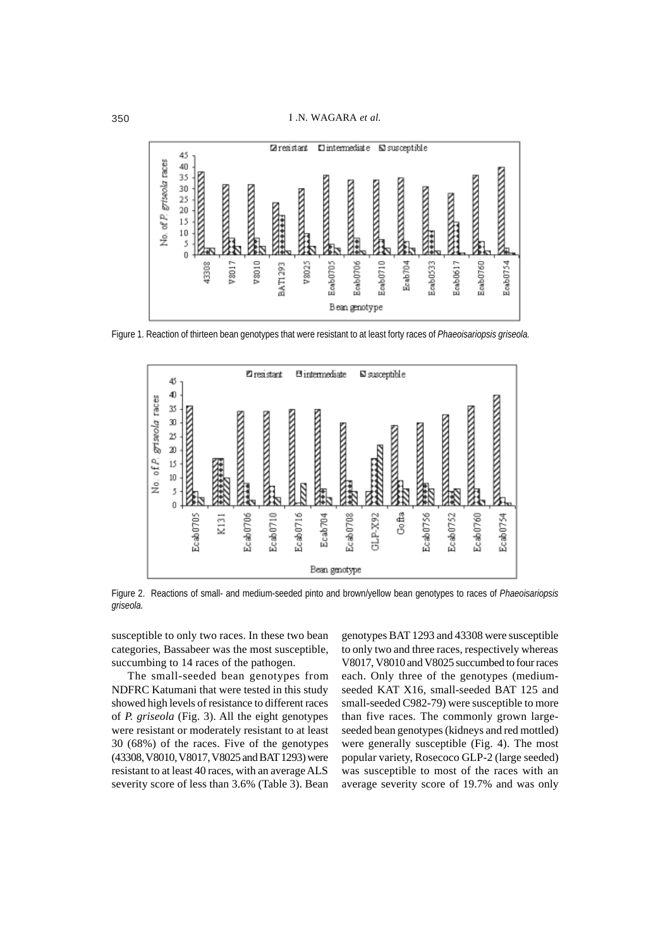

Figure 1. Reaction of thirteen bean genotypes that were resistant to at least forty races of *Phaeoisariopsis griseola.*



Figure 2. Reactions of small- and medium-seeded pinto and brown/yellow bean genotypes to races of *Phaeoisariopsis griseola.*

susceptible to only two races. In these two bean categories, Bassabeer was the most susceptible, succumbing to 14 races of the pathogen.

The small-seeded bean genotypes from NDFRC Katumani that were tested in this study showed high levels of resistance to different races of *P. griseola* (Fig. 3). All the eight genotypes were resistant or moderately resistant to at least 30 (68%) of the races. Five of the genotypes (43308, V8010, V8017, V8025 and BAT 1293) were resistant to at least 40 races, with an average ALS severity score of less than 3.6% (Table 3). Bean genotypes BAT 1293 and 43308 were susceptible to only two and three races, respectively whereas V8017, V8010 and V8025 succumbed to four races each. Only three of the genotypes (mediumseeded KAT X16, small-seeded BAT 125 and small-seeded C982-79) were susceptible to more than five races. The commonly grown largeseeded bean genotypes (kidneys and red mottled) were generally susceptible (Fig. 4). The most popular variety, Rosecoco GLP-2 (large seeded) was susceptible to most of the races with an average severity score of 19.7% and was only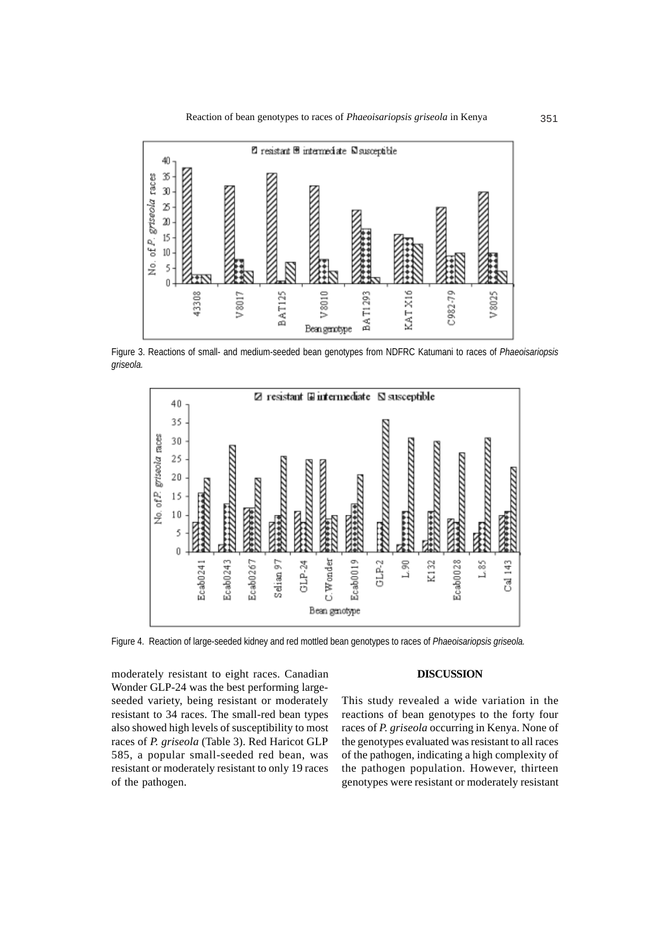

Figure 3. Reactions of small- and medium-seeded bean genotypes from NDFRC Katumani to races of *Phaeoisariopsis griseola.*



Figure 4. Reaction of large-seeded kidney and red mottled bean genotypes to races of *Phaeoisariopsis griseola.*

moderately resistant to eight races. Canadian Wonder GLP-24 was the best performing largeseeded variety, being resistant or moderately resistant to 34 races. The small-red bean types also showed high levels of susceptibility to most races of *P. griseola* (Table 3). Red Haricot GLP 585, a popular small-seeded red bean, was resistant or moderately resistant to only 19 races of the pathogen.

## **DISCUSSION**

This study revealed a wide variation in the reactions of bean genotypes to the forty four races of *P. griseola* occurring in Kenya. None of the genotypes evaluated was resistant to all races of the pathogen, indicating a high complexity of the pathogen population. However, thirteen genotypes were resistant or moderately resistant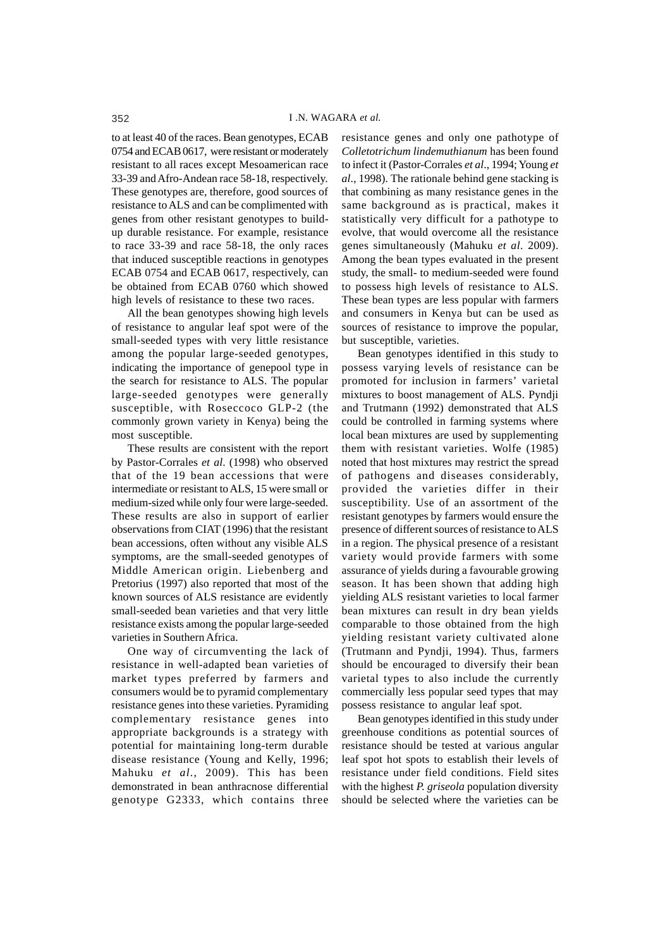to at least 40 of the races. Bean genotypes, ECAB 0754 and ECAB 0617, were resistant or moderately resistant to all races except Mesoamerican race 33-39 and Afro-Andean race 58-18, respectively. These genotypes are, therefore, good sources of resistance to ALS and can be complimented with genes from other resistant genotypes to buildup durable resistance. For example, resistance to race 33-39 and race 58-18, the only races that induced susceptible reactions in genotypes ECAB 0754 and ECAB 0617, respectively, can be obtained from ECAB 0760 which showed high levels of resistance to these two races.

All the bean genotypes showing high levels of resistance to angular leaf spot were of the small-seeded types with very little resistance among the popular large-seeded genotypes, indicating the importance of genepool type in the search for resistance to ALS. The popular large-seeded genotypes were generally susceptible, with Roseccoco GLP-2 (the commonly grown variety in Kenya) being the most susceptible.

These results are consistent with the report by Pastor-Corrales *et al*. (1998) who observed that of the 19 bean accessions that were intermediate or resistant to ALS, 15 were small or medium-sized while only four were large-seeded. These results are also in support of earlier observations from CIAT (1996) that the resistant bean accessions, often without any visible ALS symptoms, are the small-seeded genotypes of Middle American origin. Liebenberg and Pretorius (1997) also reported that most of the known sources of ALS resistance are evidently small-seeded bean varieties and that very little resistance exists among the popular large-seeded varieties in Southern Africa.

One way of circumventing the lack of resistance in well-adapted bean varieties of market types preferred by farmers and consumers would be to pyramid complementary resistance genes into these varieties. Pyramiding complementary resistance genes into appropriate backgrounds is a strategy with potential for maintaining long-term durable disease resistance (Young and Kelly, 1996; Mahuku *et al*., 2009). This has been demonstrated in bean anthracnose differential genotype G2333, which contains three

resistance genes and only one pathotype of *Colletotrichum lindemuthianum* has been found to infect it (Pastor-Corrales *et al*., 1994; Young *et al*., 1998). The rationale behind gene stacking is that combining as many resistance genes in the same background as is practical, makes it statistically very difficult for a pathotype to evolve, that would overcome all the resistance genes simultaneously (Mahuku *et al*. 2009). Among the bean types evaluated in the present study, the small- to medium-seeded were found to possess high levels of resistance to ALS. These bean types are less popular with farmers and consumers in Kenya but can be used as sources of resistance to improve the popular, but susceptible, varieties.

Bean genotypes identified in this study to possess varying levels of resistance can be promoted for inclusion in farmers' varietal mixtures to boost management of ALS. Pyndji and Trutmann (1992) demonstrated that ALS could be controlled in farming systems where local bean mixtures are used by supplementing them with resistant varieties. Wolfe (1985) noted that host mixtures may restrict the spread of pathogens and diseases considerably, provided the varieties differ in their susceptibility. Use of an assortment of the resistant genotypes by farmers would ensure the presence of different sources of resistance to ALS in a region. The physical presence of a resistant variety would provide farmers with some assurance of yields during a favourable growing season. It has been shown that adding high yielding ALS resistant varieties to local farmer bean mixtures can result in dry bean yields comparable to those obtained from the high yielding resistant variety cultivated alone (Trutmann and Pyndji, 1994). Thus, farmers should be encouraged to diversify their bean varietal types to also include the currently commercially less popular seed types that may possess resistance to angular leaf spot.

Bean genotypes identified in this study under greenhouse conditions as potential sources of resistance should be tested at various angular leaf spot hot spots to establish their levels of resistance under field conditions. Field sites with the highest *P. griseola* population diversity should be selected where the varieties can be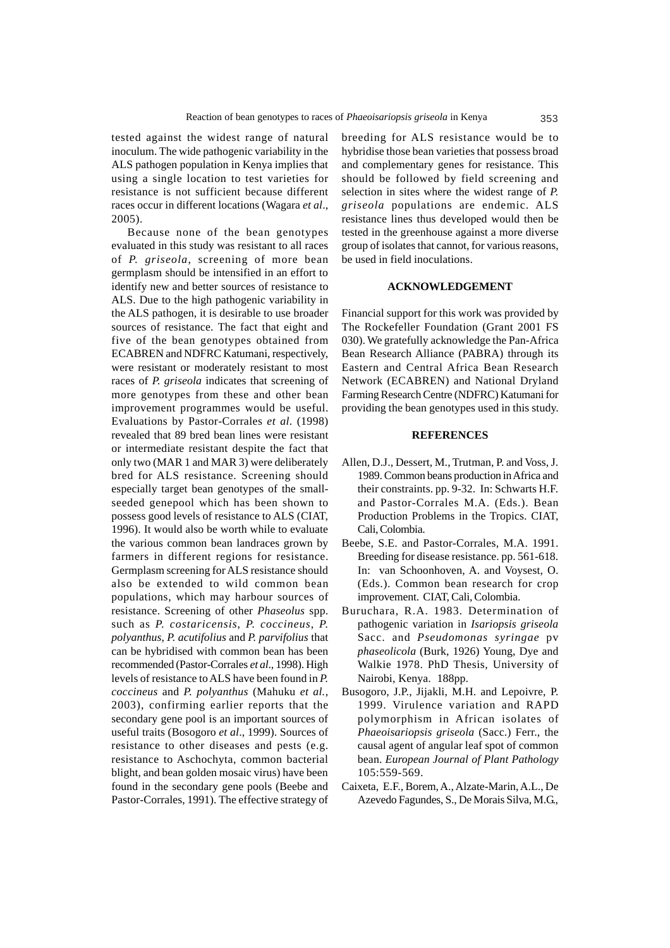tested against the widest range of natural inoculum. The wide pathogenic variability in the ALS pathogen population in Kenya implies that using a single location to test varieties for resistance is not sufficient because different races occur in different locations (Wagara *et al*., 2005).

Because none of the bean genotypes evaluated in this study was resistant to all races of *P. griseola*, screening of more bean germplasm should be intensified in an effort to identify new and better sources of resistance to ALS. Due to the high pathogenic variability in the ALS pathogen, it is desirable to use broader sources of resistance. The fact that eight and five of the bean genotypes obtained from ECABREN and NDFRC Katumani, respectively, were resistant or moderately resistant to most races of *P. griseola* indicates that screening of more genotypes from these and other bean improvement programmes would be useful. Evaluations by Pastor-Corrales *et al*. (1998) revealed that 89 bred bean lines were resistant or intermediate resistant despite the fact that only two (MAR 1 and MAR 3) were deliberately bred for ALS resistance. Screening should especially target bean genotypes of the smallseeded genepool which has been shown to possess good levels of resistance to ALS (CIAT, 1996). It would also be worth while to evaluate the various common bean landraces grown by farmers in different regions for resistance. Germplasm screening for ALS resistance should also be extended to wild common bean populations, which may harbour sources of resistance. Screening of other *Phaseolus* spp. such as *P. costaricensis*, *P. coccineus*, *P. polyanthus*, *P. acutifolius* and *P. parvifolius* that can be hybridised with common bean has been recommended (Pastor-Corrales *et al*., 1998). High levels of resistance to ALS have been found in *P. coccineus* and *P. polyanthus* (Mahuku *et al.*, 2003), confirming earlier reports that the secondary gene pool is an important sources of useful traits (Bosogoro *et al*., 1999). Sources of resistance to other diseases and pests (e.g. resistance to Aschochyta, common bacterial blight, and bean golden mosaic virus) have been found in the secondary gene pools (Beebe and Pastor-Corrales, 1991). The effective strategy of

breeding for ALS resistance would be to hybridise those bean varieties that possess broad and complementary genes for resistance. This should be followed by field screening and selection in sites where the widest range of *P. griseola* populations are endemic. ALS resistance lines thus developed would then be tested in the greenhouse against a more diverse group of isolates that cannot, for various reasons, be used in field inoculations.

#### **ACKNOWLEDGEMENT**

Financial support for this work was provided by The Rockefeller Foundation (Grant 2001 FS 030). We gratefully acknowledge the Pan-Africa Bean Research Alliance (PABRA) through its Eastern and Central Africa Bean Research Network (ECABREN) and National Dryland Farming Research Centre (NDFRC) Katumani for providing the bean genotypes used in this study.

### **REFERENCES**

- Allen, D.J., Dessert, M., Trutman, P. and Voss, J. 1989. Common beans production in Africa and their constraints. pp. 9-32. In: Schwarts H.F. and Pastor-Corrales M.A. (Eds.). Bean Production Problems in the Tropics. CIAT, Cali, Colombia.
- Beebe, S.E. and Pastor-Corrales, M.A. 1991. Breeding for disease resistance. pp. 561-618. In: van Schoonhoven, A. and Voysest, O. (Eds.). Common bean research for crop improvement. CIAT, Cali, Colombia.
- Buruchara, R.A. 1983. Determination of pathogenic variation in *Isariopsis griseola* Sacc. and *Pseudomonas syringae* pv *phaseolicola* (Burk, 1926) Young, Dye and Walkie 1978. PhD Thesis, University of Nairobi, Kenya. 188pp.
- Busogoro, J.P., Jijakli, M.H. and Lepoivre, P. 1999. Virulence variation and RAPD polymorphism in African isolates of *Phaeoisariopsis griseola* (Sacc.) Ferr., the causal agent of angular leaf spot of common bean. *European Journal of Plant Pathology* 105:559-569.
- Caixeta, E.F., Borem, A., Alzate-Marin, A.L., De Azevedo Fagundes, S., De Morais Silva, M.G.,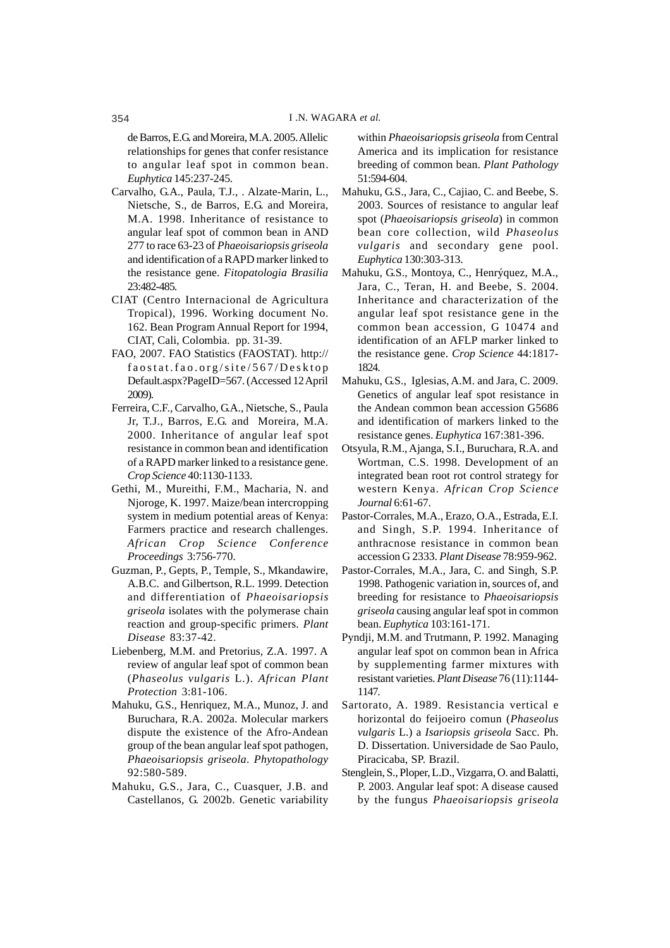de Barros, E.G. and Moreira, M.A. 2005. Allelic relationships for genes that confer resistance to angular leaf spot in common bean. *Euphytica* 145:237-245.

- Carvalho, G.A., Paula, T.J., . Alzate-Marin, L., Nietsche, S., de Barros, E.G. and Moreira, M.A. 1998. Inheritance of resistance to angular leaf spot of common bean in AND 277 to race 63-23 of *Phaeoisariopsis griseola* and identification of a RAPD marker linked to the resistance gene. *Fitopatologia Brasilia* 23:482-485.
- CIAT (Centro Internacional de Agricultura Tropical), 1996. Working document No. 162. Bean Program Annual Report for 1994, CIAT, Cali, Colombia. pp. 31-39.
- FAO, 2007. FAO Statistics (FAOSTAT). http:// faostat.fao.org/site/567/Desktop Default.aspx?PageID=567. (Accessed 12 April 2009).
- Ferreira, C.F., Carvalho, G.A., Nietsche, S., Paula Jr, T.J., Barros, E.G. and Moreira, M.A. 2000. Inheritance of angular leaf spot resistance in common bean and identification of a RAPD marker linked to a resistance gene. *Crop Science* 40:1130-1133.
- Gethi, M., Mureithi, F.M., Macharia, N. and Njoroge, K. 1997. Maize/bean intercropping system in medium potential areas of Kenya: Farmers practice and research challenges. *African Crop Science Conference Proceedings* 3:756-770.
- Guzman, P., Gepts, P., Temple, S., Mkandawire, A.B.C. and Gilbertson, R.L. 1999. Detection and differentiation of *Phaeoisariopsis griseola* isolates with the polymerase chain reaction and group-specific primers. *Plant Disease* 83:37-42.
- Liebenberg, M.M. and Pretorius, Z.A. 1997. A review of angular leaf spot of common bean (*Phaseolus vulgaris* L.). *African Plant Protection* 3:81-106.
- Mahuku, G.S., Henriquez, M.A., Munoz, J. and Buruchara, R.A. 2002a. Molecular markers dispute the existence of the Afro-Andean group of the bean angular leaf spot pathogen, *Phaeoisariopsis griseola*. *Phytopathology* 92:580-589.
- Mahuku, G.S., Jara, C., Cuasquer, J.B. and Castellanos, G. 2002b. Genetic variability

within *Phaeoisariopsis griseola* from Central America and its implication for resistance breeding of common bean. *Plant Pathology* 51:594-604.

- Mahuku, G.S., Jara, C., Cajiao, C. and Beebe, S. 2003. Sources of resistance to angular leaf spot (*Phaeoisariopsis griseola*) in common bean core collection, wild *Phaseolus vulgaris* and secondary gene pool. *Euphytica* 130:303-313.
- Mahuku, G.S., Montoya, C., Henrýquez, M.A., Jara, C., Teran, H. and Beebe, S. 2004. Inheritance and characterization of the angular leaf spot resistance gene in the common bean accession, G 10474 and identification of an AFLP marker linked to the resistance gene. *Crop Science* 44:1817- 1824.
- Mahuku, G.S., Iglesias, A.M. and Jara, C. 2009. Genetics of angular leaf spot resistance in the Andean common bean accession G5686 and identification of markers linked to the resistance genes. *Euphytica* 167:381-396.
- Otsyula, R.M., Ajanga, S.I., Buruchara, R.A. and Wortman, C.S. 1998. Development of an integrated bean root rot control strategy for western Kenya. *African Crop Science Journal* 6:61-67.
- Pastor-Corrales, M.A., Erazo, O.A., Estrada, E.I. and Singh, S.P. 1994. Inheritance of anthracnose resistance in common bean accession G 2333. *Plant Disease* 78:959-962.
- Pastor-Corrales, M.A., Jara, C. and Singh, S.P. 1998. Pathogenic variation in, sources of, and breeding for resistance to *Phaeoisariopsis griseola* causing angular leaf spot in common bean. *Euphytica* 103:161-171.
- Pyndji, M.M. and Trutmann, P. 1992. Managing angular leaf spot on common bean in Africa by supplementing farmer mixtures with resistant varieties. *Plant Disease* 76 (11):1144- 1147.
- Sartorato, A. 1989. Resistancia vertical e horizontal do feijoeiro comun (*Phaseolus vulgaris* L.) a *Isariopsis griseola* Sacc. Ph. D. Dissertation. Universidade de Sao Paulo, Piracicaba, SP. Brazil.
- Stenglein, S., Ploper, L.D., Vizgarra, O. and Balatti, P. 2003. Angular leaf spot: A disease caused by the fungus *Phaeoisariopsis griseola*